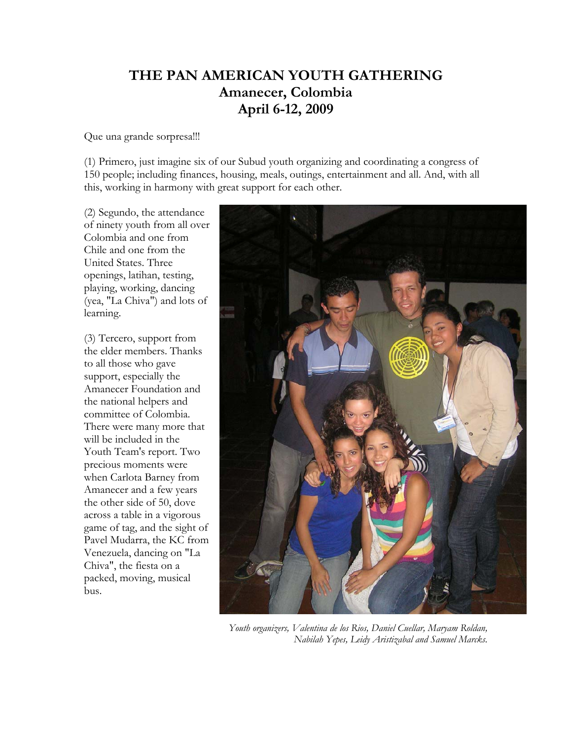## **THE PAN AMERICAN YOUTH GATHERING Amanecer, Colombia April 6-12, 2009**

Que una grande sorpresa!!!

(1) Primero, just imagine six of our Subud youth organizing and coordinating a congress of 150 people; including finances, housing, meals, outings, entertainment and all. And, with all this, working in harmony with great support for each other.

(2) Segundo, the attendance of ninety youth from all over Colombia and one from Chile and one from the United States. Three openings, latihan, testing, playing, working, dancing (yea, "La Chiva") and lots of learning.

(3) Tercero, support from the elder members. Thanks to all those who gave support, especially the Amanecer Foundation and the national helpers and committee of Colombia. There were many more that will be included in the Youth Team's report. Two precious moments were when Carlota Barney from Amanecer and a few years the other side of 50, dove across a table in a vigorous game of tag, and the sight of Pavel Mudarra, the KC from Venezuela, dancing on "La Chiva", the fiesta on a packed, moving, musical bus.



*Youth organizers, Valentina de los Rios, Daniel Cuellar, Maryam Roldan, Nabilah Yepes, Leidy Aristizabal and Samuel Marcks.*